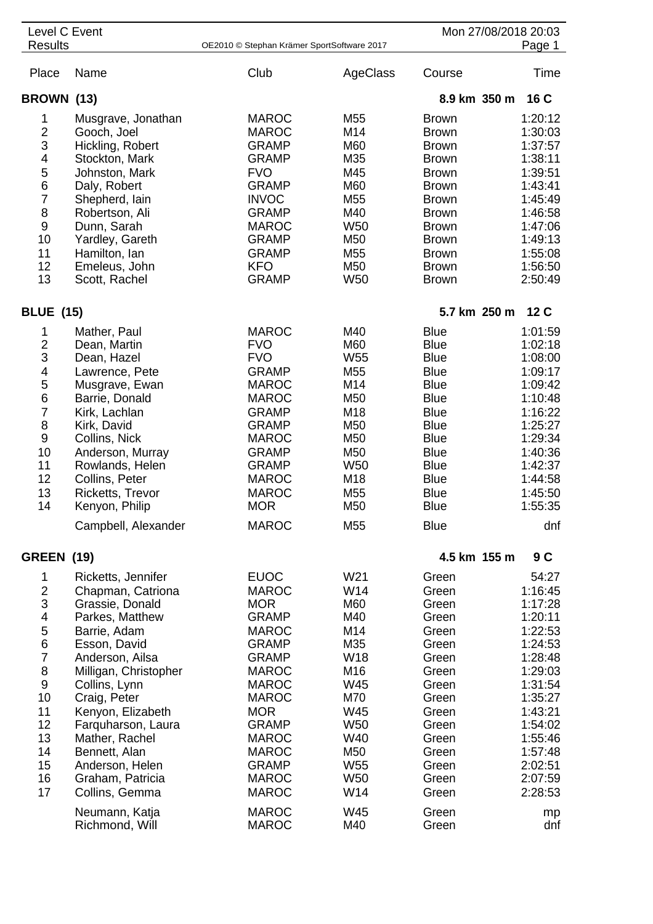| Level C Event                                                                                                                          |                                                                                                                                                                                                                                                                                                                                   |                                                                                                                                                                                                                                                                         |                                                                                                                                                         |                                                                                                                                                                                                                               | Mon 27/08/2018 20:03                                                                                                                                                                  |  |
|----------------------------------------------------------------------------------------------------------------------------------------|-----------------------------------------------------------------------------------------------------------------------------------------------------------------------------------------------------------------------------------------------------------------------------------------------------------------------------------|-------------------------------------------------------------------------------------------------------------------------------------------------------------------------------------------------------------------------------------------------------------------------|---------------------------------------------------------------------------------------------------------------------------------------------------------|-------------------------------------------------------------------------------------------------------------------------------------------------------------------------------------------------------------------------------|---------------------------------------------------------------------------------------------------------------------------------------------------------------------------------------|--|
| <b>Results</b>                                                                                                                         |                                                                                                                                                                                                                                                                                                                                   | OE2010 © Stephan Krämer SportSoftware 2017                                                                                                                                                                                                                              |                                                                                                                                                         |                                                                                                                                                                                                                               | Page 1                                                                                                                                                                                |  |
| Place                                                                                                                                  | Name                                                                                                                                                                                                                                                                                                                              | Club                                                                                                                                                                                                                                                                    | AgeClass                                                                                                                                                | Course                                                                                                                                                                                                                        | Time                                                                                                                                                                                  |  |
| BROWN (13)                                                                                                                             |                                                                                                                                                                                                                                                                                                                                   |                                                                                                                                                                                                                                                                         |                                                                                                                                                         | 8.9 km 350 m                                                                                                                                                                                                                  | 16 C                                                                                                                                                                                  |  |
| 1<br>$\frac{2}{3}$<br>4<br>5<br>6<br>$\overline{7}$<br>8<br>$\boldsymbol{9}$<br>10<br>11<br>12                                         | Musgrave, Jonathan<br>Gooch, Joel<br>Hickling, Robert<br>Stockton, Mark<br>Johnston, Mark<br>Daly, Robert<br>Shepherd, lain<br>Robertson, Ali<br>Dunn, Sarah<br>Yardley, Gareth<br>Hamilton, Ian<br>Emeleus, John                                                                                                                 | <b>MAROC</b><br><b>MAROC</b><br><b>GRAMP</b><br><b>GRAMP</b><br><b>FVO</b><br><b>GRAMP</b><br><b>INVOC</b><br><b>GRAMP</b><br><b>MAROC</b><br><b>GRAMP</b><br><b>GRAMP</b><br><b>KFO</b>                                                                                | M55<br>M14<br>M60<br>M35<br>M45<br>M60<br>M <sub>55</sub><br>M40<br>W <sub>50</sub><br>M50<br>M <sub>55</sub><br>M50                                    | <b>Brown</b><br><b>Brown</b><br><b>Brown</b><br><b>Brown</b><br><b>Brown</b><br><b>Brown</b><br><b>Brown</b><br><b>Brown</b><br><b>Brown</b><br><b>Brown</b><br><b>Brown</b><br><b>Brown</b>                                  | 1:20:12<br>1:30:03<br>1:37:57<br>1:38:11<br>1:39:51<br>1:43:41<br>1:45:49<br>1:46:58<br>1:47:06<br>1:49:13<br>1:55:08<br>1:56:50                                                      |  |
| 13                                                                                                                                     | Scott, Rachel                                                                                                                                                                                                                                                                                                                     | <b>GRAMP</b>                                                                                                                                                                                                                                                            | <b>W50</b>                                                                                                                                              | <b>Brown</b>                                                                                                                                                                                                                  | 2:50:49                                                                                                                                                                               |  |
| <b>BLUE (15)</b>                                                                                                                       |                                                                                                                                                                                                                                                                                                                                   |                                                                                                                                                                                                                                                                         |                                                                                                                                                         | 5.7 km 250 m                                                                                                                                                                                                                  | 12 <sub>C</sub>                                                                                                                                                                       |  |
| 1<br>$\frac{2}{3}$<br>$\overline{\mathbf{4}}$<br>5<br>$6\phantom{1}6$<br>$\overline{7}$<br>8<br>9<br>10<br>11<br>12<br>13<br>14        | Mather, Paul<br>Dean, Martin<br>Dean, Hazel<br>Lawrence, Pete<br>Musgrave, Ewan<br>Barrie, Donald<br>Kirk, Lachlan<br>Kirk, David<br>Collins, Nick<br>Anderson, Murray<br>Rowlands, Helen<br>Collins, Peter<br>Ricketts, Trevor<br>Kenyon, Philip<br>Campbell, Alexander                                                          | <b>MAROC</b><br><b>FVO</b><br><b>FVO</b><br><b>GRAMP</b><br><b>MAROC</b><br><b>MAROC</b><br><b>GRAMP</b><br><b>GRAMP</b><br><b>MAROC</b><br><b>GRAMP</b><br><b>GRAMP</b><br><b>MAROC</b><br><b>MAROC</b><br><b>MOR</b><br><b>MAROC</b>                                  | M40<br>M60<br>W <sub>55</sub><br>M55<br>M14<br>M50<br>M18<br>M50<br>M50<br>M50<br>W <sub>50</sub><br>M18<br>M55<br>M50<br>M55                           | <b>Blue</b><br><b>Blue</b><br><b>Blue</b><br><b>Blue</b><br><b>Blue</b><br><b>Blue</b><br><b>Blue</b><br><b>Blue</b><br><b>Blue</b><br><b>Blue</b><br><b>Blue</b><br><b>Blue</b><br><b>Blue</b><br><b>Blue</b><br><b>Blue</b> | 1:01:59<br>1:02:18<br>1:08:00<br>1:09:17<br>1:09:42<br>1:10:48<br>1:16:22<br>1:25:27<br>1:29:34<br>1:40:36<br>1:42:37<br>1:44:58<br>1:45:50<br>1:55:35<br>dnf                         |  |
| <b>GREEN (19)</b>                                                                                                                      |                                                                                                                                                                                                                                                                                                                                   |                                                                                                                                                                                                                                                                         |                                                                                                                                                         | 4.5 km 155 m                                                                                                                                                                                                                  | 9C                                                                                                                                                                                    |  |
| 1<br>$\frac{2}{3}$<br>4<br>5<br>$\,$ 6 $\,$<br>$\overline{7}$<br>8<br>$\boldsymbol{9}$<br>10<br>11<br>12<br>13<br>14<br>15<br>16<br>17 | Ricketts, Jennifer<br>Chapman, Catriona<br>Grassie, Donald<br>Parkes, Matthew<br>Barrie, Adam<br>Esson, David<br>Anderson, Ailsa<br>Milligan, Christopher<br>Collins, Lynn<br>Craig, Peter<br>Kenyon, Elizabeth<br>Farquharson, Laura<br>Mather, Rachel<br>Bennett, Alan<br>Anderson, Helen<br>Graham, Patricia<br>Collins, Gemma | <b>EUOC</b><br><b>MAROC</b><br><b>MOR</b><br><b>GRAMP</b><br><b>MAROC</b><br><b>GRAMP</b><br><b>GRAMP</b><br><b>MAROC</b><br><b>MAROC</b><br><b>MAROC</b><br><b>MOR</b><br><b>GRAMP</b><br><b>MAROC</b><br><b>MAROC</b><br><b>GRAMP</b><br><b>MAROC</b><br><b>MAROC</b> | W21<br>W14<br>M60<br>M40<br>M14<br>M35<br>W18<br>M16<br>W45<br>M70<br>W45<br>W <sub>50</sub><br>W40<br>M50<br>W <sub>55</sub><br>W <sub>50</sub><br>W14 | Green<br>Green<br>Green<br>Green<br>Green<br>Green<br>Green<br>Green<br>Green<br>Green<br>Green<br>Green<br>Green<br>Green<br>Green<br>Green<br>Green                                                                         | 54:27<br>1:16:45<br>1:17:28<br>1:20:11<br>1:22:53<br>1:24:53<br>1:28:48<br>1:29:03<br>1:31:54<br>1:35:27<br>1:43:21<br>1:54:02<br>1:55:46<br>1:57:48<br>2:02:51<br>2:07:59<br>2:28:53 |  |
|                                                                                                                                        | Neumann, Katja<br>Richmond, Will                                                                                                                                                                                                                                                                                                  | <b>MAROC</b><br><b>MAROC</b>                                                                                                                                                                                                                                            | W45<br>M40                                                                                                                                              | Green<br>Green                                                                                                                                                                                                                | mp<br>dnf                                                                                                                                                                             |  |